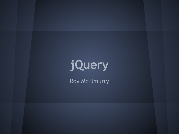# **jQuery**

Roy McElmurry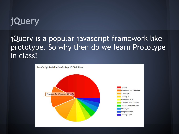#### **jQuery**

#### jQuery is a popular javascript framework like prototype. So why then do we learn Prototype in class?

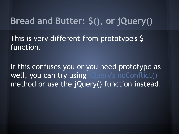## **Bread and Butter: \$(), or jQuery()**

This is very different from prototype's \$ function.

If this confuses you or you need prototype as well, you can try using [jQuery's noConflict\(\)](http://api.jquery.com/jQuery.noConflict/) method or use the jQuery() function instead.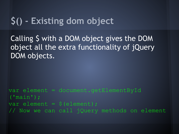#### **\$() - Existing dom object**

Calling \$ with a DOM object gives the DOM object all the extra functionality of jQuery DOM objects.

var element = document.getElementById ('main'); var element = \$(element); // Now we can call jQuery methods on element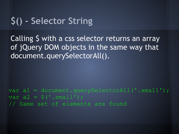## **\$() - Selector String**

Calling \$ with a css selector returns an array of jQuery DOM objects in the same way that document.querySelectorAll().

var a1 = document.querySelectorAll('.small');  $var a2 = \frac{1}{2}$  ('.small'); // Same set of elements are found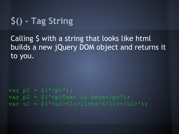## **\$() - Tag String**

Calling \$ with a string that looks like html builds a new jQuery DOM object and returns it to you.

```
var p1 = \frac{1}{9} ('<p>');
var p2 = \frac{1}{2} ('<p>Text in here</p>');
var ul = $('{<}ul{>}{<}l{i>}s1s1s!{<}l1i{>}{<}l1i{>};
```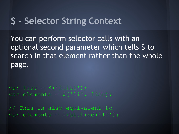#### **\$ - Selector String Context**

You can perform selector calls with an optional second parameter which tells \$ to search in that element rather than the whole page.

var list =  $$('#list')$ ; var elements = \$('li', list);

// This is also equivalent to var elements = list.find('li');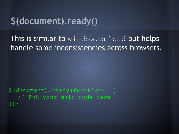#### **\$(document).ready()**

This is similar to window. onload but helps handle some inconsistencies across browsers.

\$(document).ready(function() { // Put your main code here });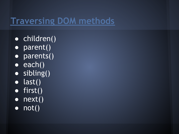#### **[Traversing DOM methods](http://api.jquery.com/category/traversing/)**

- children()
- parent()
- parents()
- $\bullet$  each()
- sibling()
- $\bullet$  last()
- first()
- $\bullet$  next()
- $\bullet$  not()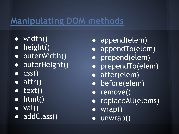#### **[Manipulating DOM methods](http://api.jquery.com/category/manipulation/)**

- $\bullet$  width()
- height()
- outerWidth()
- outerHeight()
- $\bullet$   $CSS()$
- $\bullet$  attr()
- $\bullet$  text()
- $\bullet$  html()
- $\bullet$  val()
- addClass()
- append(elem)
- appendTo(elem)
- prepend(elem)
- prependTo(elem)
- after(elem)
- before(elem)
- remove()
- replaceAll(elems)
- wrap()
- unwrap()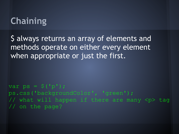## **Chaining**

\$ always returns an array of elements and methods operate on either every element when appropriate or just the first.

var ps =  $\hat{S}$  ('p'); ps.css('backgroundColor', 'green'); // what will happen if there are many <p> tag // on the page?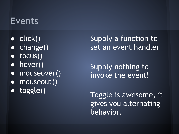#### **Events**

- $\bullet$  click()
- change()
- focus()
- hover()
- mouseover()
- mouseout()
- toggle()

Supply a function to set an event handler

Supply nothing to invoke the event!

Toggle is awesome, it gives you alternating behavior.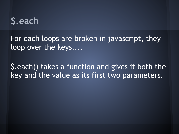## **\$.each**

For each loops are broken in javascript, they loop over the keys....

\$.each() takes a function and gives it both the key and the value as its first two parameters.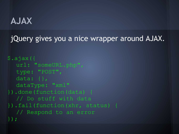#### **AJAX**

jQuery gives you a nice wrapper around AJAX.

```
$.ajax({
  url: "someURL.php",
  type: "POST",
  data: {},
  dataType: "xml"
}).done(function(data) {
  // Do stuff with data
}).fail(function(xhr, status) {
  // Respond to an error
});
```